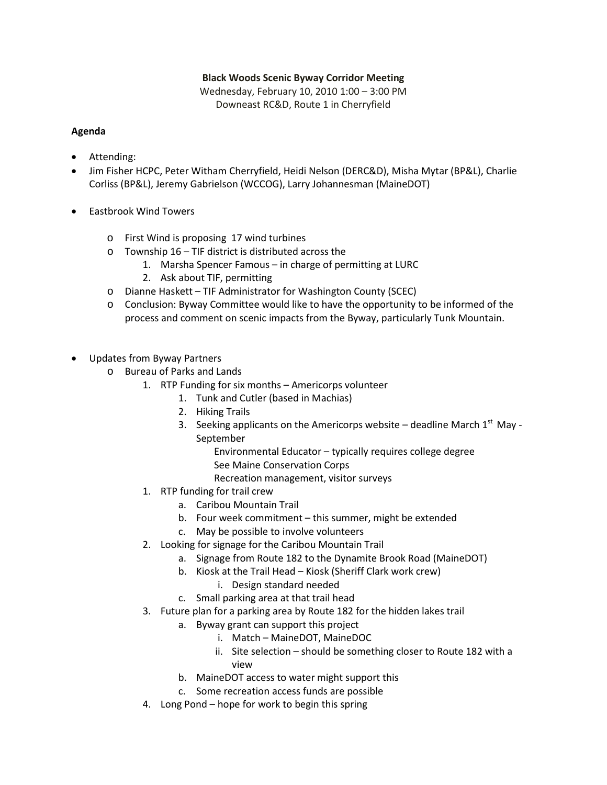## **Black Woods Scenic Byway Corridor Meeting**

Wednesday, February 10, 2010 1:00 – 3:00 PM Downeast RC&D, Route 1 in Cherryfield

## **Agenda**

- Attending:
- Jim Fisher HCPC, Peter Witham Cherryfield, Heidi Nelson (DERC&D), Misha Mytar (BP&L), Charlie Corliss (BP&L), Jeremy Gabrielson (WCCOG), Larry Johannesman (MaineDOT)
- Eastbrook Wind Towers
	- o First Wind is proposing 17 wind turbines
	- o Township 16 TIF district is distributed across the
		- 1. Marsha Spencer Famous in charge of permitting at LURC
		- 2. Ask about TIF, permitting
	- o Dianne Haskett TIF Administrator for Washington County (SCEC)
	- o Conclusion: Byway Committee would like to have the opportunity to be informed of the process and comment on scenic impacts from the Byway, particularly Tunk Mountain.
- Updates from Byway Partners
	- o Bureau of Parks and Lands
		- 1. RTP Funding for six months Americorps volunteer
			- 1. Tunk and Cutler (based in Machias)
			- 2. Hiking Trails
			- 3. Seeking applicants on the Americorps website deadline March  $1<sup>st</sup>$  May -September
				- Environmental Educator typically requires college degree
				- See Maine Conservation Corps
				- Recreation management, visitor surveys
		- 1. RTP funding for trail crew
			- a. Caribou Mountain Trail
			- b. Four week commitment this summer, might be extended
			- c. May be possible to involve volunteers
		- 2. Looking for signage for the Caribou Mountain Trail
			- a. Signage from Route 182 to the Dynamite Brook Road (MaineDOT)
			- b. Kiosk at the Trail Head Kiosk (Sheriff Clark work crew)
				- i. Design standard needed
			- c. Small parking area at that trail head
		- 3. Future plan for a parking area by Route 182 for the hidden lakes trail
			- a. Byway grant can support this project
				- i. Match MaineDOT, MaineDOC
				- ii. Site selection should be something closer to Route 182 with a view
			- b. MaineDOT access to water might support this
			- c. Some recreation access funds are possible
		- 4. Long Pond hope for work to begin this spring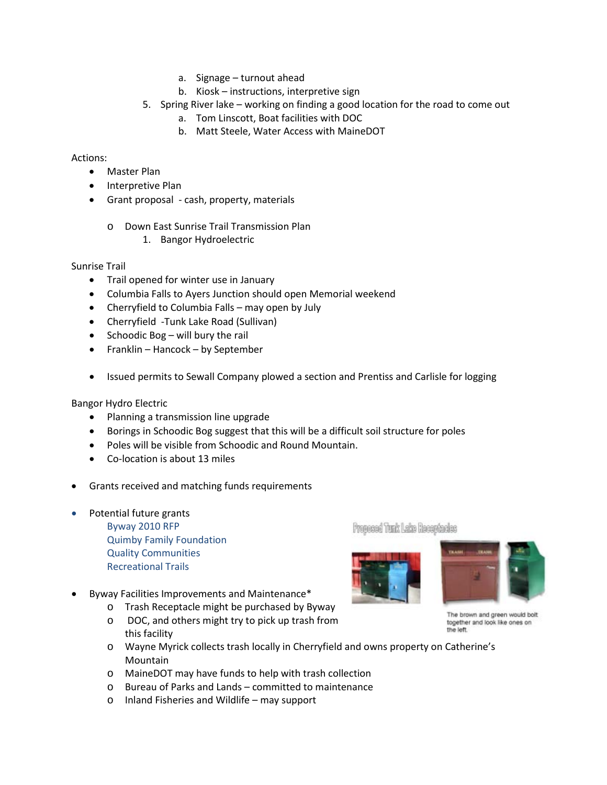- a. Signage turnout ahead
- b. Kiosk instructions, interpretive sign
- 5. Spring River lake working on finding a good location for the road to come out
	- a. Tom Linscott, Boat facilities with DOC
	- b. Matt Steele, Water Access with MaineDOT

## Actions:

- Master Plan
- Interpretive Plan
- Grant proposal cash, property, materials
	- o Down East Sunrise Trail Transmission Plan
		- 1. Bangor Hydroelectric

Sunrise Trail

- Trail opened for winter use in January
- Columbia Falls to Ayers Junction should open Memorial weekend
- Cherryfield to Columbia Falls may open by July
- Cherryfield -Tunk Lake Road (Sullivan)
- Schoodic Bog will bury the rail
- Franklin Hancock by September
- Issued permits to Sewall Company plowed a section and Prentiss and Carlisle for logging

Bangor Hydro Electric

- Planning a transmission line upgrade
- Borings in Schoodic Bog suggest that this will be a difficult soil structure for poles
- Poles will be visible from Schoodic and Round Mountain.
- Co-location is about 13 miles
- Grants received and matching funds requirements
- Potential future grants

Byway 2010 RFP Quimby Family Foundation Quality Communities Recreational Trails

- Byway Facilities Improvements and Maintenance\*
	- o Trash Receptacle might be purchased by Byway
	- o DOC, and others might try to pick up trash from this facility
	- o Wayne Myrick collects trash locally in Cherryfield and owns property on Catherine's Mountain
	- o MaineDOT may have funds to help with trash collection
	- o Bureau of Parks and Lands committed to maintenance
	- o Inland Fisheries and Wildlife may support

Proposed Tunk Lake Receptedes





The brown and green would bolt together and look like ones on the left.